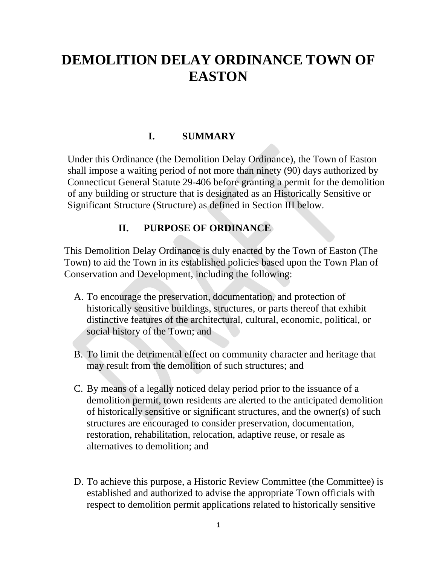# **DEMOLITION DELAY ORDINANCE TOWN OF EASTON**

# **I. SUMMARY**

Under this Ordinance (the Demolition Delay Ordinance), the Town of Easton shall impose a waiting period of not more than ninety (90) days authorized by Connecticut General Statute 29-406 before granting a permit for the demolition of any building or structure that is designated as an Historically Sensitive or Significant Structure (Structure) as defined in Section III below.

## **II. PURPOSE OF ORDINANCE**

This Demolition Delay Ordinance is duly enacted by the Town of Easton (The Town) to aid the Town in its established policies based upon the Town Plan of Conservation and Development, including the following:

- A. To encourage the preservation, documentation, and protection of historically sensitive buildings, structures, or parts thereof that exhibit distinctive features of the architectural, cultural, economic, political, or social history of the Town; and
- B. To limit the detrimental effect on community character and heritage that may result from the demolition of such structures; and
- C. By means of a legally noticed delay period prior to the issuance of a demolition permit, town residents are alerted to the anticipated demolition of historically sensitive or significant structures, and the owner(s) of such structures are encouraged to consider preservation, documentation, restoration, rehabilitation, relocation, adaptive reuse, or resale as alternatives to demolition; and
- D. To achieve this purpose, a Historic Review Committee (the Committee) is established and authorized to advise the appropriate Town officials with respect to demolition permit applications related to historically sensitive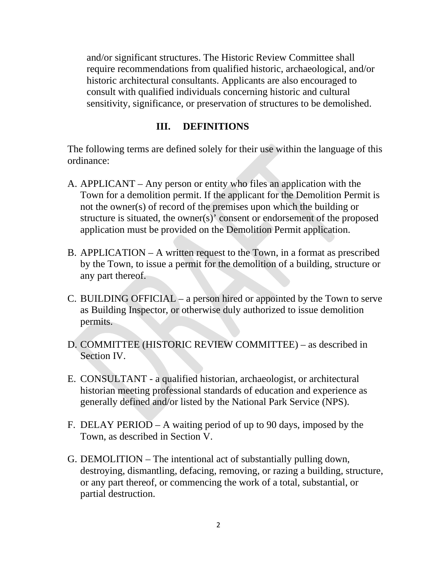and/or significant structures. The Historic Review Committee shall require recommendations from qualified historic, archaeological, and/or historic architectural consultants. Applicants are also encouraged to consult with qualified individuals concerning historic and cultural sensitivity, significance, or preservation of structures to be demolished.

#### **III. DEFINITIONS**

The following terms are defined solely for their use within the language of this ordinance:

- A. APPLICANT Any person or entity who files an application with the Town for a demolition permit. If the applicant for the Demolition Permit is not the owner(s) of record of the premises upon which the building or structure is situated, the owner(s)' consent or endorsement of the proposed application must be provided on the Demolition Permit application.
- B. APPLICATION A written request to the Town, in a format as prescribed by the Town, to issue a permit for the demolition of a building, structure or any part thereof.
- C. BUILDING OFFICIAL a person hired or appointed by the Town to serve as Building Inspector, or otherwise duly authorized to issue demolition permits.
- D. COMMITTEE (HISTORIC REVIEW COMMITTEE) as described in Section IV.
- E. CONSULTANT a qualified historian, archaeologist, or architectural historian meeting professional standards of education and experience as generally defined and/or listed by the National Park Service (NPS).
- F. DELAY PERIOD A waiting period of up to 90 days, imposed by the Town, as described in Section V.
- G. DEMOLITION The intentional act of substantially pulling down, destroying, dismantling, defacing, removing, or razing a building, structure, or any part thereof, or commencing the work of a total, substantial, or partial destruction.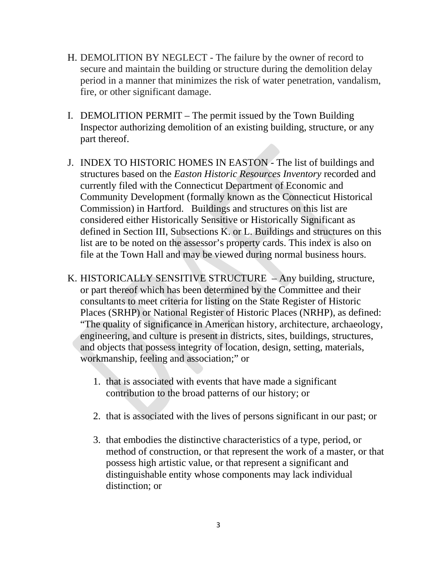- H. DEMOLITION BY NEGLECT The failure by the owner of record to secure and maintain the building or structure during the demolition delay period in a manner that minimizes the risk of water penetration, vandalism, fire, or other significant damage.
- I. DEMOLITION PERMIT The permit issued by the Town Building Inspector authorizing demolition of an existing building, structure, or any part thereof.
- J. INDEX TO HISTORIC HOMES IN EASTON The list of buildings and structures based on the *Easton Historic Resources Inventory* recorded and currently filed with the Connecticut Department of Economic and Community Development (formally known as the Connecticut Historical Commission) in Hartford. Buildings and structures on this list are considered either Historically Sensitive or Historically Significant as defined in Section III, Subsections K. or L. Buildings and structures on this list are to be noted on the assessor's property cards. This index is also on file at the Town Hall and may be viewed during normal business hours.
- K. HISTORICALLY SENSITIVE STRUCTURE Any building, structure, or part thereof which has been determined by the Committee and their consultants to meet criteria for listing on the State Register of Historic Places (SRHP) or National Register of Historic Places (NRHP), as defined: "The quality of significance in American history, architecture, archaeology, engineering, and culture is present in districts, sites, buildings, structures, and objects that possess integrity of location, design, setting, materials, workmanship, feeling and association;" or
	- 1. that is associated with events that have made a significant contribution to the broad patterns of our history; or
	- 2. that is associated with the lives of persons significant in our past; or
	- 3. that embodies the distinctive characteristics of a type, period, or method of construction, or that represent the work of a master, or that possess high artistic value, or that represent a significant and distinguishable entity whose components may lack individual distinction; or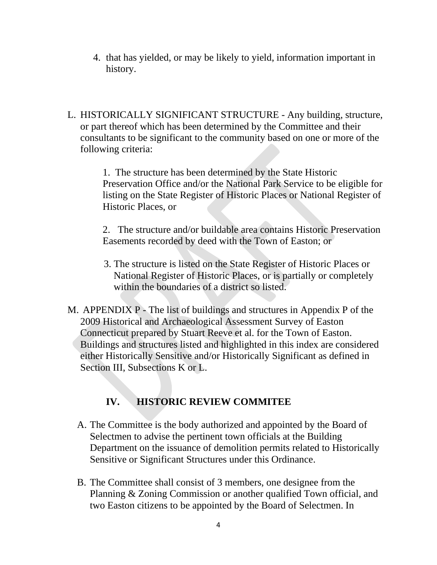- 4. that has yielded, or may be likely to yield, information important in history.
- L. HISTORICALLY SIGNIFICANT STRUCTURE Any building, structure, or part thereof which has been determined by the Committee and their consultants to be significant to the community based on one or more of the following criteria:

1. The structure has been determined by the State Historic Preservation Office and/or the National Park Service to be eligible for listing on the State Register of Historic Places or National Register of Historic Places, or

2. The structure and/or buildable area contains Historic Preservation Easements recorded by deed with the Town of Easton; or

- 3. The structure is listed on the State Register of Historic Places or National Register of Historic Places, or is partially or completely within the boundaries of a district so listed.
- M. APPENDIX P The list of buildings and structures in Appendix P of the 2009 Historical and Archaeological Assessment Survey of Easton Connecticut prepared by Stuart Reeve et al. for the Town of Easton. Buildings and structures listed and highlighted in this index are considered either Historically Sensitive and/or Historically Significant as defined in Section III, Subsections K or L.

# **IV. HISTORIC REVIEW COMMITEE**

- A. The Committee is the body authorized and appointed by the Board of Selectmen to advise the pertinent town officials at the Building Department on the issuance of demolition permits related to Historically Sensitive or Significant Structures under this Ordinance.
- B. The Committee shall consist of 3 members, one designee from the Planning & Zoning Commission or another qualified Town official, and two Easton citizens to be appointed by the Board of Selectmen. In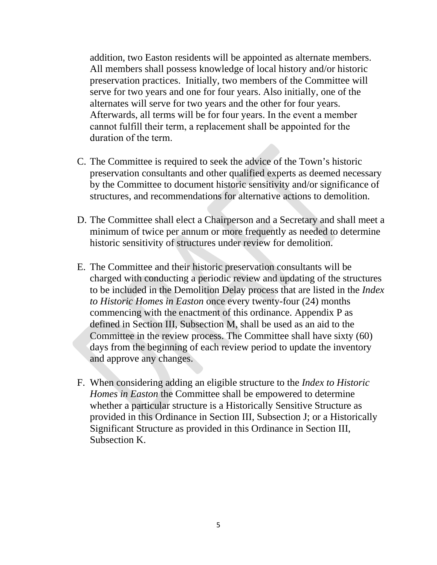addition, two Easton residents will be appointed as alternate members. All members shall possess knowledge of local history and/or historic preservation practices. Initially, two members of the Committee will serve for two years and one for four years. Also initially, one of the alternates will serve for two years and the other for four years. Afterwards, all terms will be for four years. In the event a member cannot fulfill their term, a replacement shall be appointed for the duration of the term.

- C. The Committee is required to seek the advice of the Town's historic preservation consultants and other qualified experts as deemed necessary by the Committee to document historic sensitivity and/or significance of structures, and recommendations for alternative actions to demolition.
- D. The Committee shall elect a Chairperson and a Secretary and shall meet a minimum of twice per annum or more frequently as needed to determine historic sensitivity of structures under review for demolition.
- E. The Committee and their historic preservation consultants will be charged with conducting a periodic review and updating of the structures to be included in the Demolition Delay process that are listed in the *Index to Historic Homes in Easton* once every twenty-four (24) months commencing with the enactment of this ordinance. Appendix P as defined in Section III, Subsection M, shall be used as an aid to the Committee in the review process. The Committee shall have sixty (60) days from the beginning of each review period to update the inventory and approve any changes.
- F. When considering adding an eligible structure to the *Index to Historic Homes in Easton* the Committee shall be empowered to determine whether a particular structure is a Historically Sensitive Structure as provided in this Ordinance in Section III, Subsection J; or a Historically Significant Structure as provided in this Ordinance in Section III, Subsection K.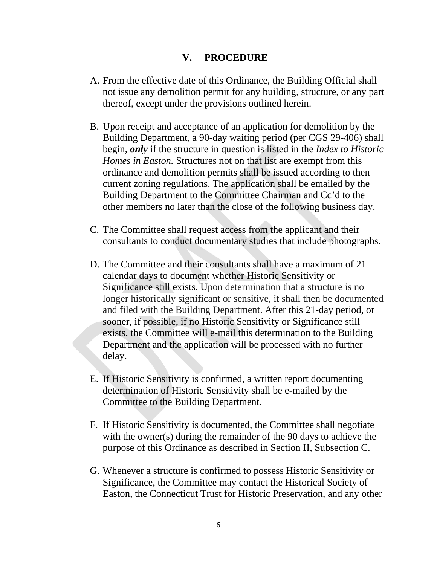#### **V. PROCEDURE**

- A. From the effective date of this Ordinance, the Building Official shall not issue any demolition permit for any building, structure, or any part thereof, except under the provisions outlined herein.
- B. Upon receipt and acceptance of an application for demolition by the Building Department, a 90-day waiting period (per CGS 29-406) shall begin, *only* if the structure in question is listed in the *Index to Historic Homes in Easton.* Structures not on that list are exempt from this ordinance and demolition permits shall be issued according to then current zoning regulations. The application shall be emailed by the Building Department to the Committee Chairman and Cc'd to the other members no later than the close of the following business day.
- C. The Committee shall request access from the applicant and their consultants to conduct documentary studies that include photographs.
- D. The Committee and their consultants shall have a maximum of 21 calendar days to document whether Historic Sensitivity or Significance still exists. Upon determination that a structure is no longer historically significant or sensitive, it shall then be documented and filed with the Building Department. After this 21-day period, or sooner, if possible, if no Historic Sensitivity or Significance still exists, the Committee will e-mail this determination to the Building Department and the application will be processed with no further delay.
- E. If Historic Sensitivity is confirmed, a written report documenting determination of Historic Sensitivity shall be e-mailed by the Committee to the Building Department.
- F. If Historic Sensitivity is documented, the Committee shall negotiate with the owner(s) during the remainder of the 90 days to achieve the purpose of this Ordinance as described in Section II, Subsection C.
- G. Whenever a structure is confirmed to possess Historic Sensitivity or Significance, the Committee may contact the Historical Society of Easton, the Connecticut Trust for Historic Preservation, and any other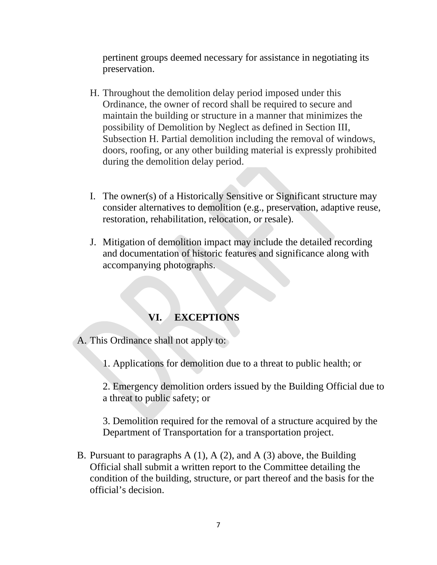pertinent groups deemed necessary for assistance in negotiating its preservation.

- H. Throughout the demolition delay period imposed under this Ordinance, the owner of record shall be required to secure and maintain the building or structure in a manner that minimizes the possibility of Demolition by Neglect as defined in Section III, Subsection H. Partial demolition including the removal of windows, doors, roofing, or any other building material is expressly prohibited during the demolition delay period.
- I. The owner(s) of a Historically Sensitive or Significant structure may consider alternatives to demolition (e.g., preservation, adaptive reuse, restoration, rehabilitation, relocation, or resale).
- J. Mitigation of demolition impact may include the detailed recording and documentation of historic features and significance along with accompanying photographs.

## **VI. EXCEPTIONS**

A. This Ordinance shall not apply to:

1. Applications for demolition due to a threat to public health; or

2. Emergency demolition orders issued by the Building Official due to a threat to public safety; or

3. Demolition required for the removal of a structure acquired by the Department of Transportation for a transportation project.

B. Pursuant to paragraphs A (1), A (2), and A (3) above, the Building Official shall submit a written report to the Committee detailing the condition of the building, structure, or part thereof and the basis for the official's decision.